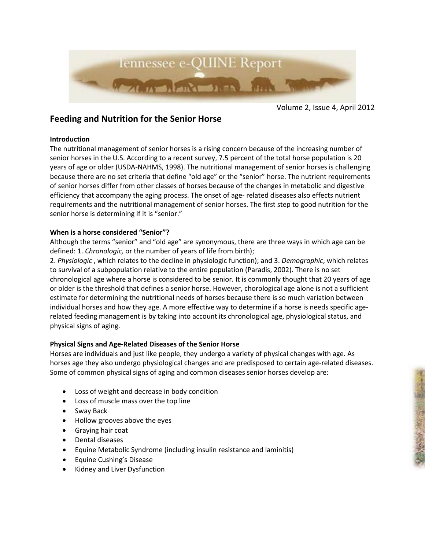

Volume 2, Issue 4, April 2012

■ 小村 中野 全部大学部

# **Feeding and Nutrition for the Senior Horse**

## **Introduction**

The nutritional management of senior horses is a rising concern because of the increasing number of senior horses in the U.S. According to a recent survey, 7.5 percent of the total horse population is 20 years of age or older (USDA-NAHMS, 1998). The nutritional management of senior horses is challenging because there are no set criteria that define "old age" or the "senior" horse. The nutrient requirements of senior horses differ from other classes of horses because of the changes in metabolic and digestive efficiency that accompany the aging process. The onset of age- related diseases also effects nutrient requirements and the nutritional management of senior horses. The first step to good nutrition for the senior horse is determining if it is "senior."

## **When is a horse considered "Senior"?**

Although the terms "senior" and "old age" are synonymous, there are three ways in which age can be defined: 1. *Chronologic,* or the number of years of life from birth);

2. *Physiologic* , which relates to the decline in physiologic function); and 3. *Demographic*, which relates to survival of a subpopulation relative to the entire population (Paradis, 2002). There is no set chronological age where a horse is considered to be senior. It is commonly thought that 20 years of age or older is the threshold that defines a senior horse. However, chorological age alone is not a sufficient estimate for determining the nutritional needs of horses because there is so much variation between individual horses and how they age. A more effective way to determine if a horse is needs specific agerelated feeding management is by taking into account its chronological age, physiological status, and physical signs of aging.

## **Physical Signs and Age-Related Diseases of the Senior Horse**

Horses are individuals and just like people, they undergo a variety of physical changes with age. As horses age they also undergo physiological changes and are predisposed to certain age-related diseases. Some of common physical signs of aging and common diseases senior horses develop are:

- Loss of weight and decrease in body condition
- Loss of muscle mass over the top line
- Sway Back
- Hollow grooves above the eyes
- Graying hair coat
- Dental diseases
- Equine Metabolic Syndrome (including insulin resistance and laminitis)
- Equine Cushing's Disease
- Kidney and Liver Dysfunction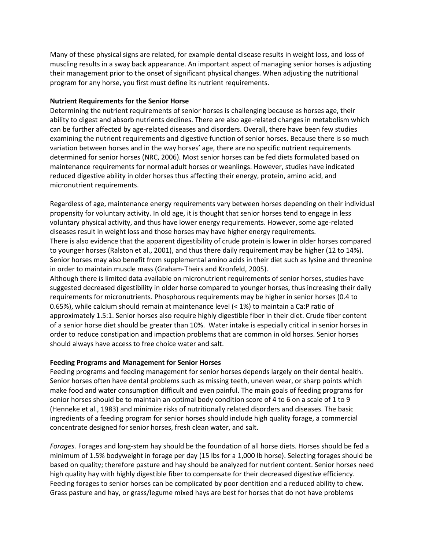Many of these physical signs are related, for example dental disease results in weight loss, and loss of muscling results in a sway back appearance. An important aspect of managing senior horses is adjusting their management prior to the onset of significant physical changes. When adjusting the nutritional program for any horse, you first must define its nutrient requirements.

#### **Nutrient Requirements for the Senior Horse**

Determining the nutrient requirements of senior horses is challenging because as horses age, their ability to digest and absorb nutrients declines. There are also age-related changes in metabolism which can be further affected by age-related diseases and disorders. Overall, there have been few studies examining the nutrient requirements and digestive function of senior horses. Because there is so much variation between horses and in the way horses' age, there are no specific nutrient requirements determined for senior horses (NRC, 2006). Most senior horses can be fed diets formulated based on maintenance requirements for normal adult horses or weanlings. However, studies have indicated reduced digestive ability in older horses thus affecting their energy, protein, amino acid, and micronutrient requirements.

Regardless of age, maintenance energy requirements vary between horses depending on their individual propensity for voluntary activity. In old age, it is thought that senior horses tend to engage in less voluntary physical activity, and thus have lower energy requirements. However, some age-related diseases result in weight loss and those horses may have higher energy requirements. There is also evidence that the apparent digestibility of crude protein is lower in older horses compared to younger horses (Ralston et al., 2001), and thus there daily requirement may be higher (12 to 14%). Senior horses may also benefit from supplemental amino acids in their diet such as lysine and threonine in order to maintain muscle mass (Graham-Theirs and Kronfeld, 2005).

Although there is limited data available on micronutrient requirements of senior horses, studies have suggested decreased digestibility in older horse compared to younger horses, thus increasing their daily requirements for micronutrients. Phosphorous requirements may be higher in senior horses (0.4 to 0.65%), while calcium should remain at maintenance level (< 1%) to maintain a Ca:P ratio of approximately 1.5:1. Senior horses also require highly digestible fiber in their diet. Crude fiber content of a senior horse diet should be greater than 10%. Water intake is especially critical in senior horses in order to reduce constipation and impaction problems that are common in old horses. Senior horses should always have access to free choice water and salt.

#### **Feeding Programs and Management for Senior Horses**

Feeding programs and feeding management for senior horses depends largely on their dental health. Senior horses often have dental problems such as missing teeth, uneven wear, or sharp points which make food and water consumption difficult and even painful. The main goals of feeding programs for senior horses should be to maintain an optimal body condition score of 4 to 6 on a scale of 1 to 9 (Henneke et al., 1983) and minimize risks of nutritionally related disorders and diseases. The basic ingredients of a feeding program for senior horses should include high quality forage, a commercial concentrate designed for senior horses, fresh clean water, and salt.

*Forages.* Forages and long-stem hay should be the foundation of all horse diets. Horses should be fed a minimum of 1.5% bodyweight in forage per day (15 lbs for a 1,000 lb horse). Selecting forages should be based on quality; therefore pasture and hay should be analyzed for nutrient content. Senior horses need high quality hay with highly digestible fiber to compensate for their decreased digestive efficiency. Feeding forages to senior horses can be complicated by poor dentition and a reduced ability to chew. Grass pasture and hay, or grass/legume mixed hays are best for horses that do not have problems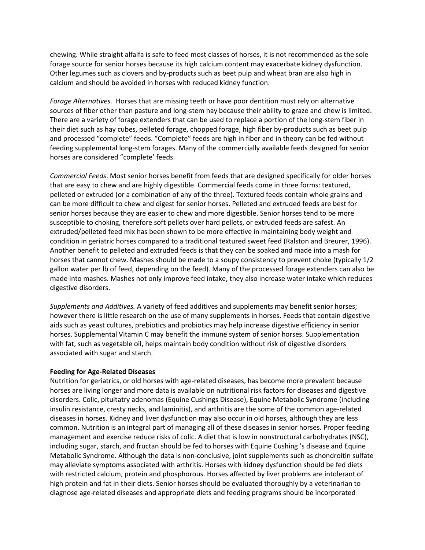chewing. While straight alfalfa is safe to feed most classes of horses, it is not recommended as the sole forage source for senior horses because its high calcium content may exacerbate kidney dysfunction. Other legumes such as clovers and by-products such as beet pulp and wheat bran are also high in calcium and should be avoided in horses with reduced kidney function.

*Forage Alternatives.* Horses that are missing teeth or have poor dentition must rely on alternative sources of fiber other than pasture and long-stem hay because their ability to graze and chew is limited. There are a variety of forage extenders that can be used to replace a portion of the long-stem fiber in their diet such as hay cubes, pelleted forage, chopped forage, high fiber by-products such as beet pulp and processed "complete" feeds. "Complete" feeds are high in fiber and in theory can be fed without feeding supplemental long-stem forages. Many of the commercially available feeds designed for senior horses are considered "complete' feeds.

*Commercial Feeds*. Most senior horses benefit from feeds that are designed specifically for older horses that are easy to chew and are highly digestible. Commercial feeds come in three forms: textured, pelleted or extruded (or a combination of any of the three). Textured feeds contain whole grains and can be more difficult to chew and digest for senior horses. Pelleted and extruded feeds are best for senior horses because they are easier to chew and more digestible. Senior horses tend to be more susceptible to choking, therefore soft pellets over hard pellets, or extruded feeds are safest. An extruded/pelleted feed mix has been shown to be more effective in maintaining body weight and condition in geriatric horses compared to a traditional textured sweet feed (Ralston and Breurer, 1996). Another benefit to pelleted and extruded feeds is that they can be soaked and made into a mash for horses that cannot chew. Mashes should be made to a soupy consistency to prevent choke (typically 1/2 gallon water per lb of feed, depending on the feed). Many of the processed forage extenders can also be made into mashes. Mashes not only improve feed intake, they also increase water intake which reduces digestive disorders.

*Supplements and Additives.* A variety of feed additives and supplements may benefit senior horses; however there is little research on the use of many supplements in horses. Feeds that contain digestive aids such as yeast cultures, prebiotics and probiotics may help increase digestive efficiency in senior horses. Supplemental Vitamin C may benefit the immune system of senior horses. Supplementation with fat, such as vegetable oil, helps maintain body condition without risk of digestive disorders associated with sugar and starch.

#### **Feeding for Age-Related Diseases**

Nutrition for geriatrics, or old horses with age-related diseases, has become more prevalent because horses are living longer and more data is available on nutritional risk factors for diseases and digestive disorders. Colic, pituitatry adenomas (Equine Cushings Disease), Equine Metabolic Syndrome (including insulin resistance, cresty necks, and laminitis), and arthritis are the some of the common age-related diseases in horses. Kidney and liver dysfunction may also occur in old horses, although they are less common. Nutrition is an integral part of managing all of these diseases in senior horses. Proper feeding management and exercise reduce risks of colic. A diet that is low in nonstructural carbohydrates (NSC), including sugar, starch, and fructan should be fed to horses with Equine Cushing 's disease and Equine Metabolic Syndrome. Although the data is non-conclusive, joint supplements such as chondroitin sulfate may alleviate symptoms associated with arthritis. Horses with kidney dysfunction should be fed diets with restricted calcium, protein and phosphorous. Horses affected by liver problems are intolerant of high protein and fat in their diets. Senior horses should be evaluated thoroughly by a veterinarian to diagnose age-related diseases and appropriate diets and feeding programs should be incorporated